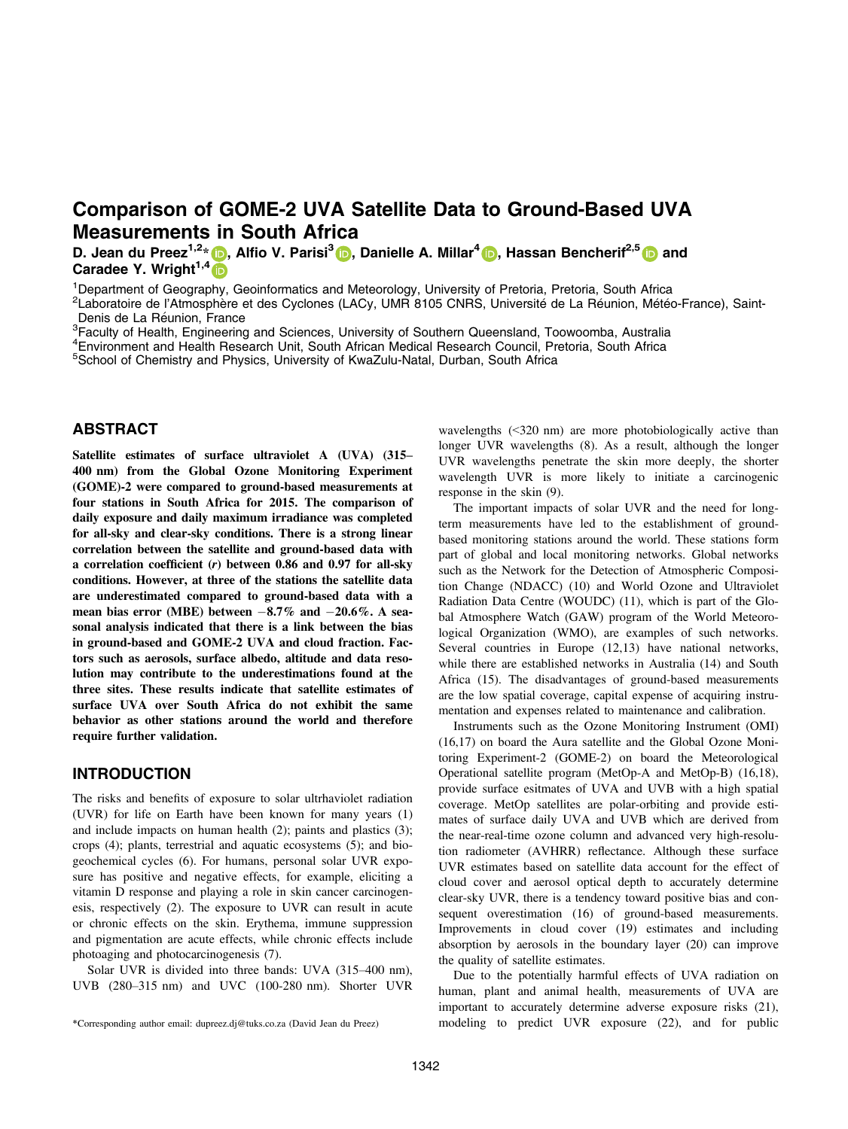# Comparison of GOME-2 UVA Satellite Data to Ground-Based UVA Measurements in South Africa

D. Jean du Preez<sup>1,2</sup>[\\*](https://orcid.org/0000-0003-1546-9138) D, Alfio V. Parisi<sup>3</sup> D, Danielle A. Millar<sup>[4](https://orcid.org/0000-0001-9772-3843)</sup> D, Hassan Bencherif<sup>2,5</sup> D and Caradee Y. Wright<sup>1,4</sup>

<sup>1</sup>Department of Geography, Geoinformatics and Meteorology, University of Pretoria, Pretoria, South Africa

<sup>2</sup>Laboratoire de l'Atmosphère et des Cyclones (LACy, UMR 8105 CNRS, Université de La Réunion, Météo-France), Saint-Denis de La Réunion. France

<sup>3</sup> Faculty of Health, Engineering and Sciences, University of Southern Queensland, Toowoomba, Australia

<sup>4</sup>Environment and Health Research Unit, South African Medical Research Council, Pretoria, South Africa

5School of Chemistry and Physics, University of KwaZulu-Natal, Durban, South Africa

## ABSTRACT

Satellite estimates of surface ultraviolet A (UVA) (315– 400 nm) from the Global Ozone Monitoring Experiment (GOME)-2 were compared to ground-based measurements at four stations in South Africa for 2015. The comparison of daily exposure and daily maximum irradiance was completed for all-sky and clear-sky conditions. There is a strong linear correlation between the satellite and ground-based data with a correlation coefficient (r) between 0.86 and 0.97 for all-sky conditions. However, at three of the stations the satellite data are underestimated compared to ground-based data with a mean bias error (MBE) between  $-8.7\%$  and  $-20.6\%$ . A seasonal analysis indicated that there is a link between the bias in ground-based and GOME-2 UVA and cloud fraction. Factors such as aerosols, surface albedo, altitude and data resolution may contribute to the underestimations found at the three sites. These results indicate that satellite estimates of surface UVA over South Africa do not exhibit the same behavior as other stations around the world and therefore require further validation.

### INTRODUCTION

The risks and benefits of exposure to solar ultrhaviolet radiation (UVR) for life on Earth have been known for many years (1) and include impacts on human health (2); paints and plastics (3); crops (4); plants, terrestrial and aquatic ecosystems (5); and biogeochemical cycles (6). For humans, personal solar UVR exposure has positive and negative effects, for example, eliciting a vitamin D response and playing a role in skin cancer carcinogenesis, respectively (2). The exposure to UVR can result in acute or chronic effects on the skin. Erythema, immune suppression and pigmentation are acute effects, while chronic effects include photoaging and photocarcinogenesis (7).

Solar UVR is divided into three bands: UVA (315–400 nm), UVB (280–315 nm) and UVC (100-280 nm). Shorter UVR wavelengths (<320 nm) are more photobiologically active than longer UVR wavelengths (8). As a result, although the longer UVR wavelengths penetrate the skin more deeply, the shorter wavelength UVR is more likely to initiate a carcinogenic response in the skin (9).

The important impacts of solar UVR and the need for longterm measurements have led to the establishment of groundbased monitoring stations around the world. These stations form part of global and local monitoring networks. Global networks such as the Network for the Detection of Atmospheric Composition Change (NDACC) (10) and World Ozone and Ultraviolet Radiation Data Centre (WOUDC) (11), which is part of the Global Atmosphere Watch (GAW) program of the World Meteorological Organization (WMO), are examples of such networks. Several countries in Europe (12,13) have national networks, while there are established networks in Australia (14) and South Africa (15). The disadvantages of ground-based measurements are the low spatial coverage, capital expense of acquiring instrumentation and expenses related to maintenance and calibration.

Instruments such as the Ozone Monitoring Instrument (OMI) (16,17) on board the Aura satellite and the Global Ozone Monitoring Experiment-2 (GOME-2) on board the Meteorological Operational satellite program (MetOp-A and MetOp-B) (16,18), provide surface esitmates of UVA and UVB with a high spatial coverage. MetOp satellites are polar-orbiting and provide estimates of surface daily UVA and UVB which are derived from the near-real-time ozone column and advanced very high-resolution radiometer (AVHRR) reflectance. Although these surface UVR estimates based on satellite data account for the effect of cloud cover and aerosol optical depth to accurately determine clear-sky UVR, there is a tendency toward positive bias and consequent overestimation (16) of ground-based measurements. Improvements in cloud cover (19) estimates and including absorption by aerosols in the boundary layer (20) can improve the quality of satellite estimates.

Due to the potentially harmful effects of UVA radiation on human, plant and animal health, measurements of UVA are important to accurately determine adverse exposure risks (21), \*Corresponding author email: dupreez.dj@tuks.co.za (David Jean du Preez) modeling to predict UVR exposure (22), and for public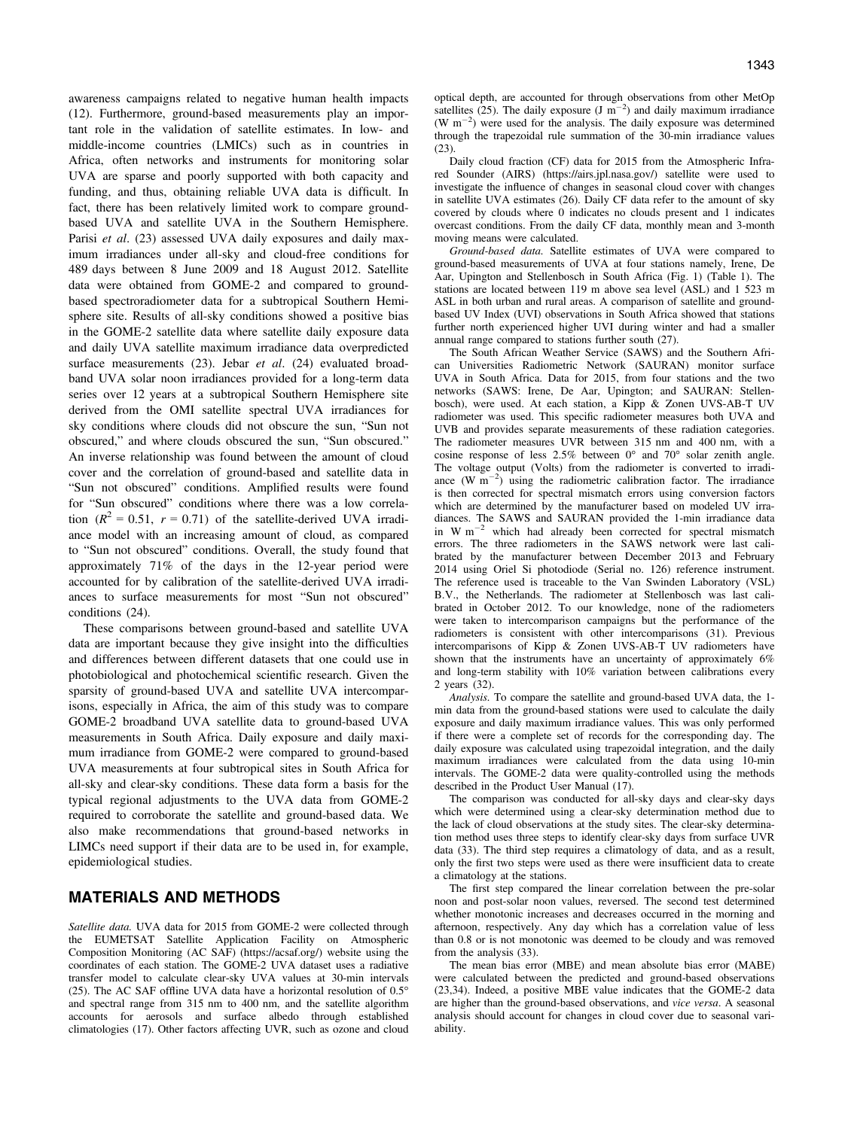awareness campaigns related to negative human health impacts (12). Furthermore, ground-based measurements play an important role in the validation of satellite estimates. In low- and middle-income countries (LMICs) such as in countries in Africa, often networks and instruments for monitoring solar UVA are sparse and poorly supported with both capacity and funding, and thus, obtaining reliable UVA data is difficult. In fact, there has been relatively limited work to compare groundbased UVA and satellite UVA in the Southern Hemisphere. Parisi et al. (23) assessed UVA daily exposures and daily maximum irradiances under all-sky and cloud-free conditions for 489 days between 8 June 2009 and 18 August 2012. Satellite data were obtained from GOME-2 and compared to groundbased spectroradiometer data for a subtropical Southern Hemisphere site. Results of all-sky conditions showed a positive bias in the GOME-2 satellite data where satellite daily exposure data and daily UVA satellite maximum irradiance data overpredicted surface measurements (23). Jebar et al. (24) evaluated broadband UVA solar noon irradiances provided for a long-term data series over 12 years at a subtropical Southern Hemisphere site derived from the OMI satellite spectral UVA irradiances for sky conditions where clouds did not obscure the sun, "Sun not obscured," and where clouds obscured the sun, "Sun obscured." An inverse relationship was found between the amount of cloud cover and the correlation of ground-based and satellite data in "Sun not obscured" conditions. Amplified results were found for "Sun obscured" conditions where there was a low correlation  $(R^2 = 0.51, r = 0.71)$  of the satellite-derived UVA irradiance model with an increasing amount of cloud, as compared to "Sun not obscured" conditions. Overall, the study found that approximately 71% of the days in the 12-year period were accounted for by calibration of the satellite-derived UVA irradiances to surface measurements for most "Sun not obscured" conditions (24).

These comparisons between ground-based and satellite UVA data are important because they give insight into the difficulties and differences between different datasets that one could use in photobiological and photochemical scientific research. Given the sparsity of ground-based UVA and satellite UVA intercomparisons, especially in Africa, the aim of this study was to compare GOME-2 broadband UVA satellite data to ground-based UVA measurements in South Africa. Daily exposure and daily maximum irradiance from GOME-2 were compared to ground-based UVA measurements at four subtropical sites in South Africa for all-sky and clear-sky conditions. These data form a basis for the typical regional adjustments to the UVA data from GOME-2 required to corroborate the satellite and ground-based data. We also make recommendations that ground-based networks in LIMCs need support if their data are to be used in, for example, epidemiological studies.

## MATERIALS AND METHODS

Satellite data. UVA data for 2015 from GOME-2 were collected through the EUMETSAT Satellite Application Facility on Atmospheric Composition Monitoring (AC SAF) [\(https://acsaf.org/\)](https://acsaf.org/) website using the coordinates of each station. The GOME-2 UVA dataset uses a radiative transfer model to calculate clear-sky UVA values at 30-min intervals (25). The AC SAF offline UVA data have a horizontal resolution of  $0.5^\circ$ and spectral range from 315 nm to 400 nm, and the satellite algorithm accounts for aerosols and surface albedo through established climatologies (17). Other factors affecting UVR, such as ozone and cloud optical depth, are accounted for through observations from other MetOp satellites (25). The daily exposure  $(J \text{ m}^{-2})$  and daily maximum irradiance  $(W m<sup>-2</sup>)$  were used for the analysis. The daily exposure was determined through the trapezoidal rule summation of the 30-min irradiance values (23).

Daily cloud fraction (CF) data for 2015 from the Atmospheric Infrared Sounder (AIRS) (<https://airs.jpl.nasa.gov/>) satellite were used to investigate the influence of changes in seasonal cloud cover with changes in satellite UVA estimates (26). Daily CF data refer to the amount of sky covered by clouds where 0 indicates no clouds present and 1 indicates overcast conditions. From the daily CF data, monthly mean and 3-month moving means were calculated.

Ground-based data. Satellite estimates of UVA were compared to ground-based measurements of UVA at four stations namely, Irene, De Aar, Upington and Stellenbosch in South Africa (Fig. 1) (Table 1). The stations are located between 119 m above sea level (ASL) and 1 523 m ASL in both urban and rural areas. A comparison of satellite and groundbased UV Index (UVI) observations in South Africa showed that stations further north experienced higher UVI during winter and had a smaller annual range compared to stations further south (27).

The South African Weather Service (SAWS) and the Southern African Universities Radiometric Network (SAURAN) monitor surface UVA in South Africa. Data for 2015, from four stations and the two networks (SAWS: Irene, De Aar, Upington; and SAURAN: Stellenbosch), were used. At each station, a Kipp & Zonen UVS-AB-T UV radiometer was used. This specific radiometer measures both UVA and UVB and provides separate measurements of these radiation categories. The radiometer measures UVR between 315 nm and 400 nm, with a cosine response of less 2.5% between 0° and 70° solar zenith angle. The voltage output (Volts) from the radiometer is converted to irradiance  $(W \ m^{-2})$  using the radiometric calibration factor. The irradiance is then corrected for spectral mismatch errors using conversion factors which are determined by the manufacturer based on modeled UV irradiances. The SAWS and SAURAN provided the 1-min irradiance data in  $W$  m<sup>-2</sup> which had already been corrected for spectral mismatch errors. The three radiometers in the SAWS network were last calibrated by the manufacturer between December 2013 and February 2014 using Oriel Si photodiode (Serial no. 126) reference instrument. The reference used is traceable to the Van Swinden Laboratory (VSL) B.V., the Netherlands. The radiometer at Stellenbosch was last calibrated in October 2012. To our knowledge, none of the radiometers were taken to intercomparison campaigns but the performance of the radiometers is consistent with other intercomparisons (31). Previous intercomparisons of Kipp & Zonen UVS-AB-T UV radiometers have shown that the instruments have an uncertainty of approximately 6% and long-term stability with 10% variation between calibrations every 2 years (32).

Analysis. To compare the satellite and ground-based UVA data, the 1 min data from the ground-based stations were used to calculate the daily exposure and daily maximum irradiance values. This was only performed if there were a complete set of records for the corresponding day. The daily exposure was calculated using trapezoidal integration, and the daily maximum irradiances were calculated from the data using 10-min intervals. The GOME-2 data were quality-controlled using the methods described in the Product User Manual (17).

The comparison was conducted for all-sky days and clear-sky days which were determined using a clear-sky determination method due to the lack of cloud observations at the study sites. The clear-sky determination method uses three steps to identify clear-sky days from surface UVR data (33). The third step requires a climatology of data, and as a result, only the first two steps were used as there were insufficient data to create a climatology at the stations.

The first step compared the linear correlation between the pre-solar noon and post-solar noon values, reversed. The second test determined whether monotonic increases and decreases occurred in the morning and afternoon, respectively. Any day which has a correlation value of less than 0.8 or is not monotonic was deemed to be cloudy and was removed from the analysis (33).

The mean bias error (MBE) and mean absolute bias error (MABE) were calculated between the predicted and ground-based observations (23,34). Indeed, a positive MBE value indicates that the GOME-2 data are higher than the ground-based observations, and vice versa. A seasonal analysis should account for changes in cloud cover due to seasonal variability.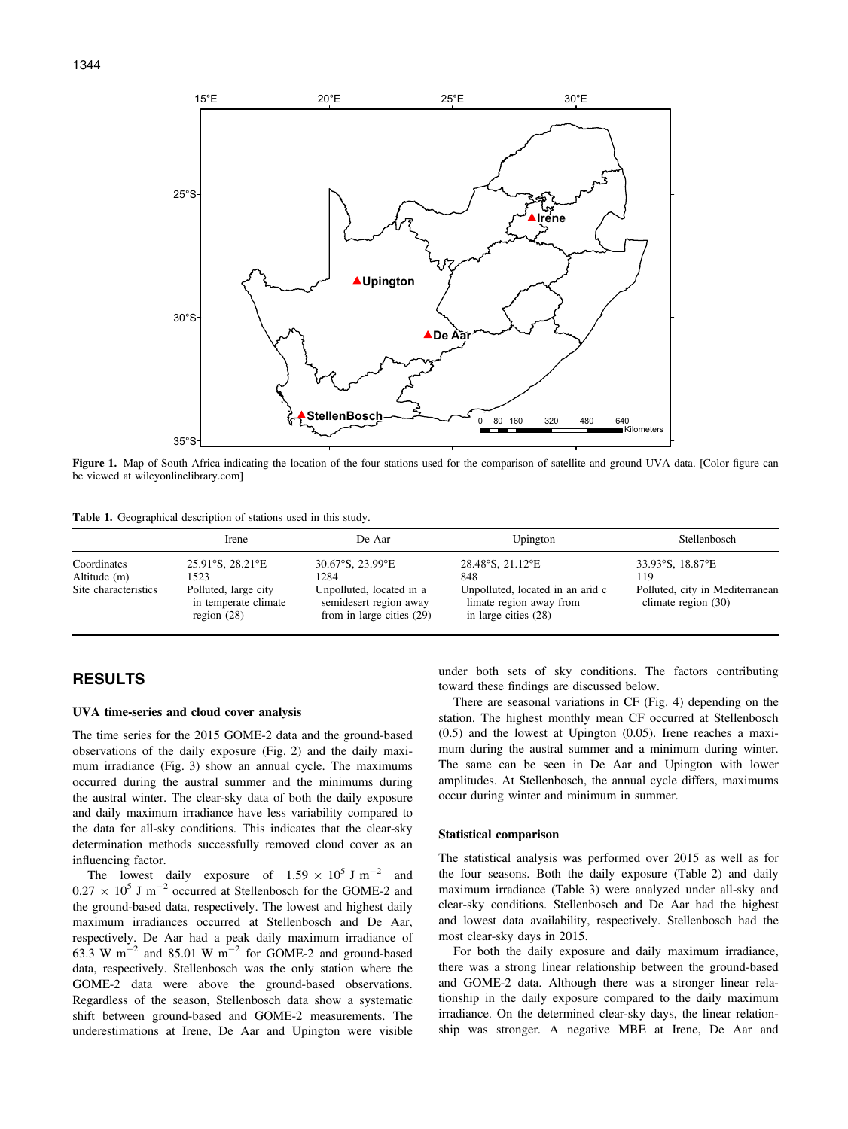

Figure 1. Map of South Africa indicating the location of the four stations used for the comparison of satellite and ground UVA data. [Color figure can be viewed at [wileyonlinelibrary.com](www.wileyonlinelibrary.com)]

|  | Table 1. Geographical description of stations used in this study. |  |  |  |  |  |  |  |
|--|-------------------------------------------------------------------|--|--|--|--|--|--|--|
|--|-------------------------------------------------------------------|--|--|--|--|--|--|--|

|                                                     | Irene                                                                                                         | De Aar                                                                                                                           | Upington                                                                                                         | Stellenbosch                                                                        |
|-----------------------------------------------------|---------------------------------------------------------------------------------------------------------------|----------------------------------------------------------------------------------------------------------------------------------|------------------------------------------------------------------------------------------------------------------|-------------------------------------------------------------------------------------|
| Coordinates<br>Altitude (m)<br>Site characteristics | $25.91^{\circ}$ S, $28.21^{\circ}$ E<br>1523<br>Polluted, large city<br>in temperate climate<br>region $(28)$ | $30.67^{\circ}$ S, 23.99 $^{\circ}$ E<br>1284<br>Unpolluted, located in a<br>semidesert region away<br>from in large cities (29) | 28.48°S, 21.12°E<br>848<br>Unpolluted, located in an arid c<br>limate region away from<br>in large cities $(28)$ | 33.93°S, 18.87°E<br>119<br>Polluted, city in Mediterranean<br>climate region $(30)$ |

## RESULTS

#### UVA time-series and cloud cover analysis

The time series for the 2015 GOME-2 data and the ground-based observations of the daily exposure (Fig. 2) and the daily maximum irradiance (Fig. 3) show an annual cycle. The maximums occurred during the austral summer and the minimums during the austral winter. The clear-sky data of both the daily exposure and daily maximum irradiance have less variability compared to the data for all-sky conditions. This indicates that the clear-sky determination methods successfully removed cloud cover as an influencing factor.

The lowest daily exposure of  $1.59 \times 10^5$  J m<sup>-2</sup> and  $0.27 \times 10^5$  J m<sup>-2</sup> occurred at Stellenbosch for the GOME-2 and the ground-based data, respectively. The lowest and highest daily maximum irradiances occurred at Stellenbosch and De Aar, respectively. De Aar had a peak daily maximum irradiance of 63.3 W m<sup> $-2$ </sup> and 85.01 W m<sup> $-2$ </sup> for GOME-2 and ground-based data, respectively. Stellenbosch was the only station where the GOME-2 data were above the ground-based observations. Regardless of the season, Stellenbosch data show a systematic shift between ground-based and GOME-2 measurements. The underestimations at Irene, De Aar and Upington were visible

under both sets of sky conditions. The factors contributing toward these findings are discussed below.

There are seasonal variations in CF (Fig. 4) depending on the station. The highest monthly mean CF occurred at Stellenbosch (0.5) and the lowest at Upington (0.05). Irene reaches a maximum during the austral summer and a minimum during winter. The same can be seen in De Aar and Upington with lower amplitudes. At Stellenbosch, the annual cycle differs, maximums occur during winter and minimum in summer.

#### Statistical comparison

The statistical analysis was performed over 2015 as well as for the four seasons. Both the daily exposure (Table 2) and daily maximum irradiance (Table 3) were analyzed under all-sky and clear-sky conditions. Stellenbosch and De Aar had the highest and lowest data availability, respectively. Stellenbosch had the most clear-sky days in 2015.

For both the daily exposure and daily maximum irradiance, there was a strong linear relationship between the ground-based and GOME-2 data. Although there was a stronger linear relationship in the daily exposure compared to the daily maximum irradiance. On the determined clear-sky days, the linear relationship was stronger. A negative MBE at Irene, De Aar and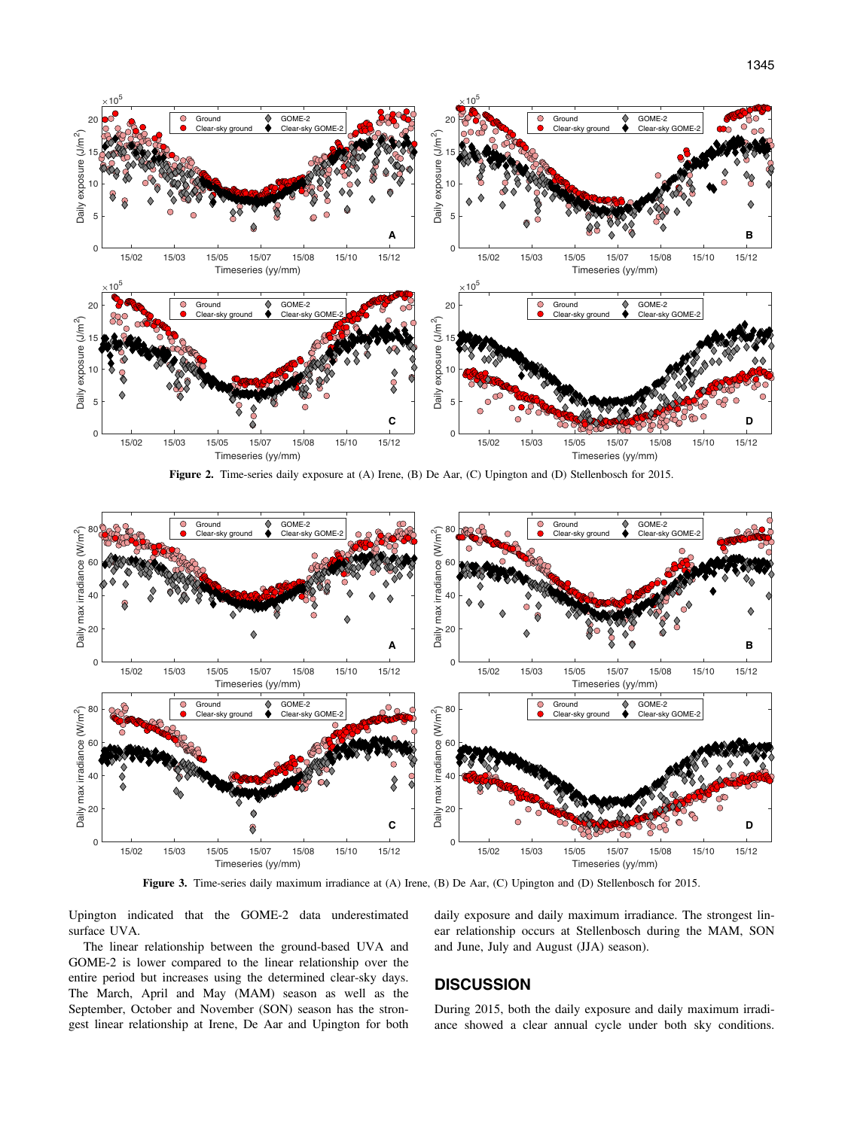

Figure 2. Time-series daily exposure at (A) Irene, (B) De Aar, (C) Upington and (D) Stellenbosch for 2015.



Figure 3. Time-series daily maximum irradiance at (A) Irene, (B) De Aar, (C) Upington and (D) Stellenbosch for 2015.

Upington indicated that the GOME-2 data underestimated surface UVA.

The linear relationship between the ground-based UVA and GOME-2 is lower compared to the linear relationship over the entire period but increases using the determined clear-sky days. The March, April and May (MAM) season as well as the September, October and November (SON) season has the strongest linear relationship at Irene, De Aar and Upington for both daily exposure and daily maximum irradiance. The strongest linear relationship occurs at Stellenbosch during the MAM, SON and June, July and August (JJA) season).

## **DISCUSSION**

During 2015, both the daily exposure and daily maximum irradiance showed a clear annual cycle under both sky conditions.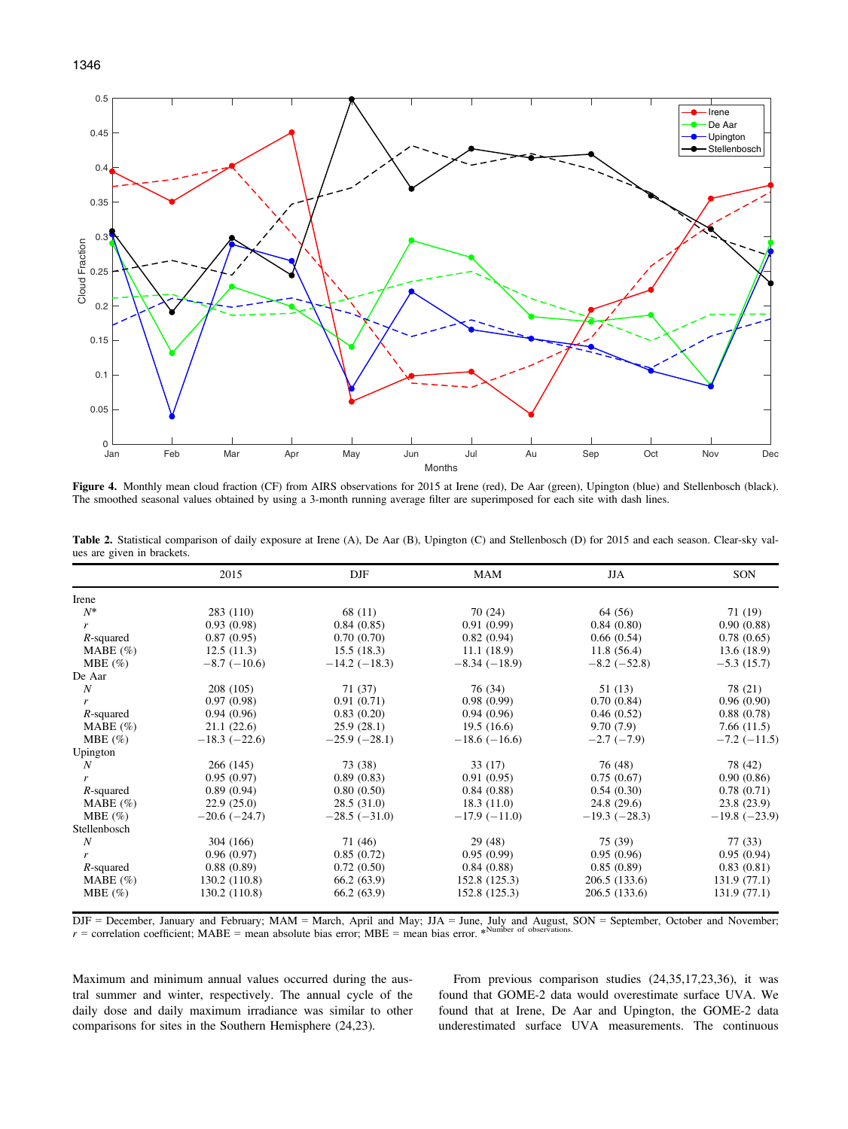



Figure 4. Monthly mean cloud fraction (CF) from AIRS observations for 2015 at Irene (red), De Aar (green), Upington (blue) and Stellenbosch (black). The smoothed seasonal values obtained by using a 3-month running average filter are superimposed for each site with dash lines.

|                            |  | Table 2. Statistical comparison of daily exposure at Irene (A), De Aar (B), Upington (C) and Stellenbosch (D) for 2015 and each season. Clear-sky val- |  |  |  |  |  |
|----------------------------|--|--------------------------------------------------------------------------------------------------------------------------------------------------------|--|--|--|--|--|
| ues are given in brackets. |  |                                                                                                                                                        |  |  |  |  |  |

|              | 2015           | DJF                 | <b>MAM</b>     | JJA            | SON            |
|--------------|----------------|---------------------|----------------|----------------|----------------|
| Irene        |                |                     |                |                |                |
| $N^*$        | 283 (110)      | 68 (11)             | 70 (24)        | 64 (56)        | 71 (19)        |
| r            | 0.93(0.98)     | 0.84(0.85)          | 0.91(0.99)     | 0.84(0.80)     | 0.90(0.88)     |
| $R$ -squared | 0.87(0.95)     | 0.70(0.70)          | 0.82(0.94)     | 0.66(0.54)     | 0.78(0.65)     |
| MABE $(\% )$ | 12.5(11.3)     | 15.5(18.3)          | 11.1(18.9)     | 11.8(56.4)     | 13.6(18.9)     |
| MBE $(\% )$  | $-8.7(-10.6)$  | $-14.2$ ( $-18.3$ ) | $-8.34(-18.9)$ | $-8.2(-52.8)$  | $-5.3(15.7)$   |
| De Aar       |                |                     |                |                |                |
| N            | 208 (105)      | 71 (37)             | 76 (34)        | 51 (13)        | 78 (21)        |
| r            | 0.97(0.98)     | 0.91(0.71)          | 0.98(0.99)     | 0.70(0.84)     | 0.96(0.90)     |
| $R$ -squared | 0.94(0.96)     | 0.83(0.20)          | 0.94(0.96)     | 0.46(0.52)     | 0.88(0.78)     |
| MABE $(\% )$ | 21.1(22.6)     | 25.9(28.1)          | 19.5(16.6)     | 9.70(7.9)      | 7.66(11.5)     |
| MBE $(\% )$  | $-18.3(-22.6)$ | $-25.9(-28.1)$      | $-18.6(-16.6)$ | $-2.7(-7.9)$   | $-7.2(-11.5)$  |
| Upington     |                |                     |                |                |                |
| N            | 266(145)       | 73 (38)             | 33(17)         | 76 (48)        | 78 (42)        |
|              | 0.95(0.97)     | 0.89(0.83)          | 0.91(0.95)     | 0.75(0.67)     | 0.90(0.86)     |
| $R$ -squared | 0.89(0.94)     | 0.80(0.50)          | 0.84(0.88)     | 0.54(0.30)     | 0.78(0.71)     |
| MABE $(\% )$ | 22.9(25.0)     | 28.5(31.0)          | 18.3(11.0)     | 24.8 (29.6)    | 23.8(23.9)     |
| MBE $(\% )$  | $-20.6(-24.7)$ | $-28.5(-31.0)$      | $-17.9(-11.0)$ | $-19.3(-28.3)$ | $-19.8(-23.9)$ |
| Stellenbosch |                |                     |                |                |                |
| N            | 304 (166)      | 71 (46)             | 29(48)         | 75 (39)        | 77 (33)        |
| r            | 0.96(0.97)     | 0.85(0.72)          | 0.95(0.99)     | 0.95(0.96)     | 0.95(0.94)     |
| $R$ -squared | 0.88(0.89)     | 0.72(0.50)          | 0.84(0.88)     | 0.85(0.89)     | 0.83(0.81)     |
| MABE $(\% )$ | 130.2(110.8)   | 66.2(63.9)          | 152.8 (125.3)  | 206.5(133.6)   | 131.9(77.1)    |
| MBE $(\% )$  | 130.2 (110.8)  | 66.2(63.9)          | 152.8 (125.3)  | 206.5 (133.6)  | 131.9(77.1)    |

 $\text{DIF} = \text{December}$ , January and February;  $\text{MAM} = \text{March}$ , April and May;  $\text{JIA} = \text{June}$ , July and August, SON = September, October and November;  $r =$  correlation coefficient; MABE = mean absolute bias error; MBE = mean bias error.

Maximum and minimum annual values occurred during the austral summer and winter, respectively. The annual cycle of the daily dose and daily maximum irradiance was similar to other comparisons for sites in the Southern Hemisphere (24,23).

From previous comparison studies (24,35,17,23,36), it was found that GOME-2 data would overestimate surface UVA. We found that at Irene, De Aar and Upington, the GOME-2 data underestimated surface UVA measurements. The continuous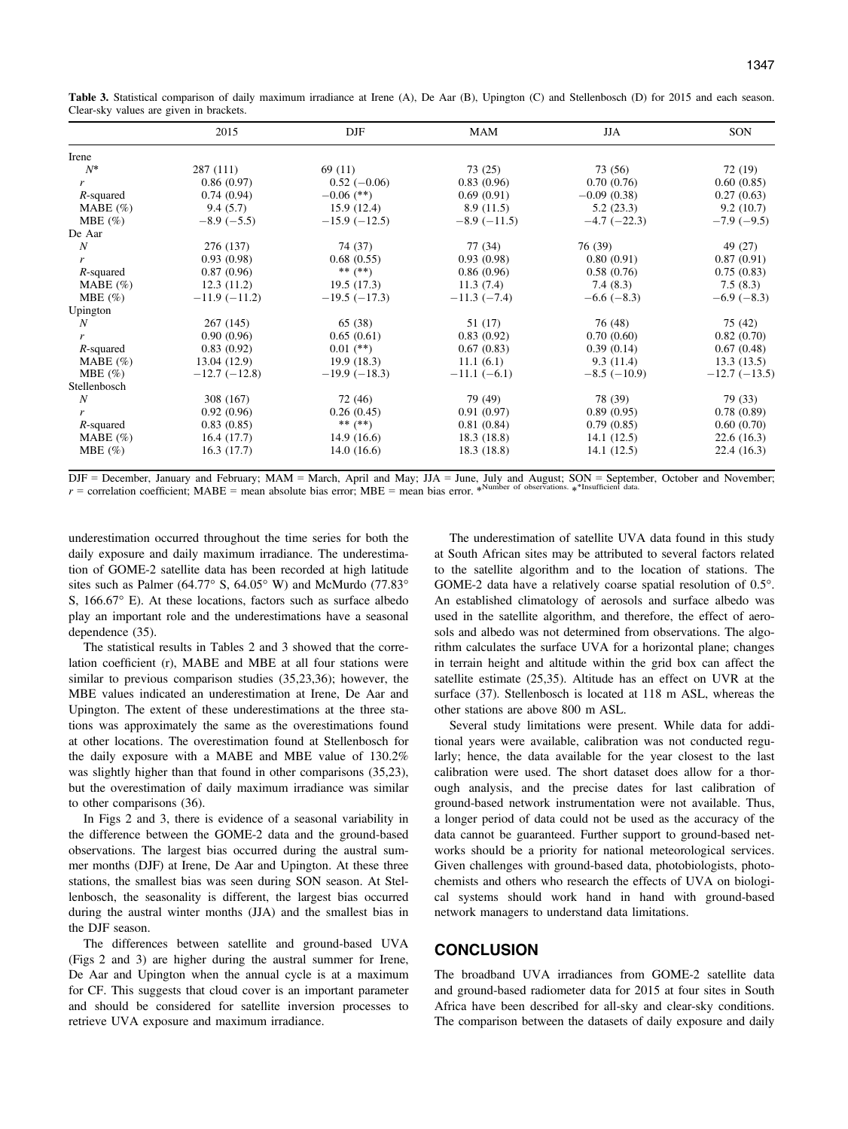Table 3. Statistical comparison of daily maximum irradiance at Irene (A), De Aar (B), Upington (C) and Stellenbosch (D) for 2015 and each season. Clear-sky values are given in brackets.

|              | 2015           | DJF            | MAM           | <b>JJA</b>         | SON            |
|--------------|----------------|----------------|---------------|--------------------|----------------|
| Irene        |                |                |               |                    |                |
| $N^*$        | 287(111)       | 69 (11)        | 73 (25)       | 73 (56)            | 72 (19)        |
| r            | 0.86(0.97)     | $0.52(-0.06)$  | 0.83(0.96)    | 0.70(0.76)         | 0.60(0.85)     |
| $R$ -squared | 0.74(0.94)     | $-0.06$ (**)   | 0.69(0.91)    | $-0.09(0.38)$      | 0.27(0.63)     |
| MABE $(\% )$ | 9.4(5.7)       | 15.9(12.4)     | 8.9(11.5)     | 5.2(23.3)          | 9.2(10.7)      |
| MBE $(\% )$  | $-8.9(-5.5)$   | $-15.9(-12.5)$ | $-8.9(-11.5)$ | $-4.7$ ( $-22.3$ ) | $-7.9(-9.5)$   |
| De Aar       |                |                |               |                    |                |
| N            | 276 (137)      | 74 (37)        | 77 (34)       | 76 (39)            | 49 (27)        |
| r            | 0.93(0.98)     | 0.68(0.55)     | 0.93(0.98)    | 0.80(0.91)         | 0.87(0.91)     |
| $R$ -squared | 0.87(0.96)     | ** $(**)$      | 0.86(0.96)    | 0.58(0.76)         | 0.75(0.83)     |
| MABE $(\% )$ | 12.3(11.2)     | 19.5(17.3)     | 11.3(7.4)     | 7.4(8.3)           | 7.5(8.3)       |
| MBE $(\% )$  | $-11.9(-11.2)$ | $-19.5(-17.3)$ | $-11.3(-7.4)$ | $-6.6(-8.3)$       | $-6.9(-8.3)$   |
| Upington     |                |                |               |                    |                |
| N            | 267(145)       | 65 (38)        | 51 (17)       | 76 (48)            | 75 (42)        |
| r            | 0.90(0.96)     | 0.65(0.61)     | 0.83(0.92)    | 0.70(0.60)         | 0.82(0.70)     |
| $R$ -squared | 0.83(0.92)     | $0.01$ (**)    | 0.67(0.83)    | 0.39(0.14)         | 0.67(0.48)     |
| MABE $(\% )$ | 13.04(12.9)    | 19.9(18.3)     | 11.1(6.1)     | 9.3(11.4)          | 13.3(13.5)     |
| MBE $(\% )$  | $-12.7(-12.8)$ | $-19.9(-18.3)$ | $-11.1(-6.1)$ | $-8.5$ ( $-10.9$ ) | $-12.7(-13.5)$ |
| Stellenbosch |                |                |               |                    |                |
| N            | 308 (167)      | 72 (46)        | 79 (49)       | 78 (39)            | 79 (33)        |
| r            | 0.92(0.96)     | 0.26(0.45)     | 0.91(0.97)    | 0.89(0.95)         | 0.78(0.89)     |
| $R$ -squared | 0.83(0.85)     | ** $(**)$      | 0.81(0.84)    | 0.79(0.85)         | 0.60(0.70)     |
| MABE $(\% )$ | 16.4(17.7)     | 14.9(16.6)     | 18.3(18.8)    | 14.1(12.5)         | 22.6(16.3)     |
| MBE $(\% )$  | 16.3(17.7)     | 14.0(16.6)     | 18.3(18.8)    | 14.1(12.5)         | 22.4(16.3)     |

DJF = December, January and February; MAM = March, April and May; JJA = June, July and August; SON = September, October and November;  $r =$  correlation coefficient; MABE = mean absolute bias error; MBE = mean bias error. \* Number of observations. \* \*Insufficient data.

underestimation occurred throughout the time series for both the daily exposure and daily maximum irradiance. The underestimation of GOME-2 satellite data has been recorded at high latitude sites such as Palmer (64.77° S, 64.05° W) and McMurdo (77.83° S, 166.67° E). At these locations, factors such as surface albedo play an important role and the underestimations have a seasonal dependence (35).

The statistical results in Tables 2 and 3 showed that the correlation coefficient (r), MABE and MBE at all four stations were similar to previous comparison studies (35,23,36); however, the MBE values indicated an underestimation at Irene, De Aar and Upington. The extent of these underestimations at the three stations was approximately the same as the overestimations found at other locations. The overestimation found at Stellenbosch for the daily exposure with a MABE and MBE value of 130.2% was slightly higher than that found in other comparisons  $(35,23)$ , but the overestimation of daily maximum irradiance was similar to other comparisons (36).

In Figs 2 and 3, there is evidence of a seasonal variability in the difference between the GOME-2 data and the ground-based observations. The largest bias occurred during the austral summer months (DJF) at Irene, De Aar and Upington. At these three stations, the smallest bias was seen during SON season. At Stellenbosch, the seasonality is different, the largest bias occurred during the austral winter months (JJA) and the smallest bias in the DJF season.

The differences between satellite and ground-based UVA (Figs 2 and 3) are higher during the austral summer for Irene, De Aar and Upington when the annual cycle is at a maximum for CF. This suggests that cloud cover is an important parameter and should be considered for satellite inversion processes to retrieve UVA exposure and maximum irradiance.

The underestimation of satellite UVA data found in this study at South African sites may be attributed to several factors related to the satellite algorithm and to the location of stations. The GOME-2 data have a relatively coarse spatial resolution of 0.5°. An established climatology of aerosols and surface albedo was used in the satellite algorithm, and therefore, the effect of aerosols and albedo was not determined from observations. The algorithm calculates the surface UVA for a horizontal plane; changes in terrain height and altitude within the grid box can affect the satellite estimate (25,35). Altitude has an effect on UVR at the surface (37). Stellenbosch is located at 118 m ASL, whereas the other stations are above 800 m ASL.

Several study limitations were present. While data for additional years were available, calibration was not conducted regularly; hence, the data available for the year closest to the last calibration were used. The short dataset does allow for a thorough analysis, and the precise dates for last calibration of ground-based network instrumentation were not available. Thus, a longer period of data could not be used as the accuracy of the data cannot be guaranteed. Further support to ground-based networks should be a priority for national meteorological services. Given challenges with ground-based data, photobiologists, photochemists and others who research the effects of UVA on biological systems should work hand in hand with ground-based network managers to understand data limitations.

## **CONCLUSION**

The broadband UVA irradiances from GOME-2 satellite data and ground-based radiometer data for 2015 at four sites in South Africa have been described for all-sky and clear-sky conditions. The comparison between the datasets of daily exposure and daily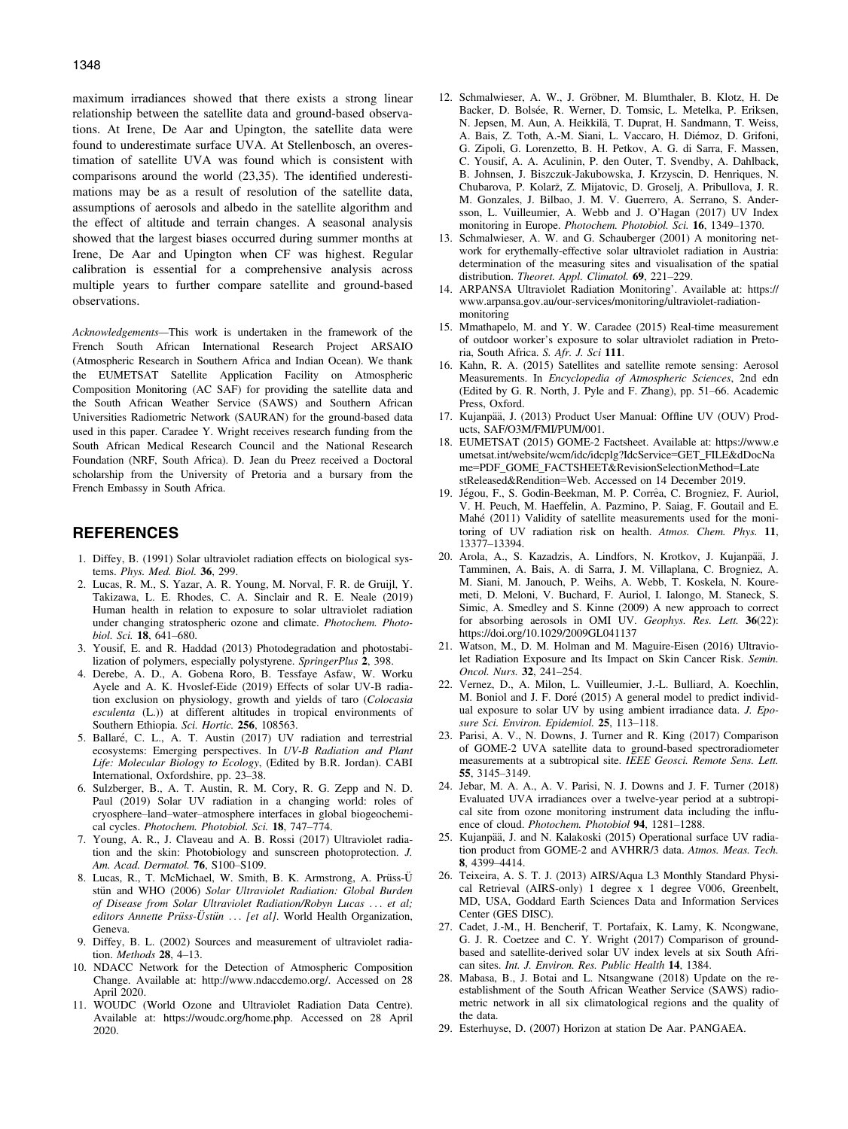maximum irradiances showed that there exists a strong linear relationship between the satellite data and ground-based observations. At Irene, De Aar and Upington, the satellite data were found to underestimate surface UVA. At Stellenbosch, an overestimation of satellite UVA was found which is consistent with comparisons around the world (23,35). The identified underestimations may be as a result of resolution of the satellite data, assumptions of aerosols and albedo in the satellite algorithm and the effect of altitude and terrain changes. A seasonal analysis showed that the largest biases occurred during summer months at Irene, De Aar and Upington when CF was highest. Regular calibration is essential for a comprehensive analysis across multiple years to further compare satellite and ground-based observations.

Acknowledgements—This work is undertaken in the framework of the French South African International Research Project ARSAIO (Atmospheric Research in Southern Africa and Indian Ocean). We thank the EUMETSAT Satellite Application Facility on Atmospheric Composition Monitoring (AC SAF) for providing the satellite data and the South African Weather Service (SAWS) and Southern African Universities Radiometric Network (SAURAN) for the ground-based data used in this paper. Caradee Y. Wright receives research funding from the South African Medical Research Council and the National Research Foundation (NRF, South Africa). D. Jean du Preez received a Doctoral scholarship from the University of Pretoria and a bursary from the French Embassy in South Africa.

## REFERENCES

- 1. Diffey, B. (1991) Solar ultraviolet radiation effects on biological systems. Phys. Med. Biol. 36, 299.
- 2. Lucas, R. M., S. Yazar, A. R. Young, M. Norval, F. R. de Gruijl, Y. Takizawa, L. E. Rhodes, C. A. Sinclair and R. E. Neale (2019) Human health in relation to exposure to solar ultraviolet radiation under changing stratospheric ozone and climate. Photochem. Photobiol. Sci. 18, 641–680.
- 3. Yousif, E. and R. Haddad (2013) Photodegradation and photostabilization of polymers, especially polystyrene. SpringerPlus 2, 398.
- 4. Derebe, A. D., A. Gobena Roro, B. Tessfaye Asfaw, W. Worku Ayele and A. K. Hvoslef-Eide (2019) Effects of solar UV-B radiation exclusion on physiology, growth and yields of taro (Colocasia esculenta (L.)) at different altitudes in tropical environments of Southern Ethiopia. Sci. Hortic. 256, 108563.
- 5. Ballare, C. L., A. T. Austin (2017) UV radiation and terrestrial ecosystems: Emerging perspectives. In UV-B Radiation and Plant Life: Molecular Biology to Ecology, (Edited by B.R. Jordan). CABI International, Oxfordshire, pp. 23–38.
- 6. Sulzberger, B., A. T. Austin, R. M. Cory, R. G. Zepp and N. D. Paul (2019) Solar UV radiation in a changing world: roles of cryosphere–land–water–atmosphere interfaces in global biogeochemical cycles. Photochem. Photobiol. Sci. 18, 747–774.
- 7. Young, A. R., J. Claveau and A. B. Rossi (2017) Ultraviolet radiation and the skin: Photobiology and sunscreen photoprotection. J. Am. Acad. Dermatol. 76, S100–S109.
- 8. Lucas, R., T. McMichael, W. Smith, B. K. Armstrong, A. Prüss-Ü stün and WHO (2006) Solar Ultraviolet Radiation: Global Burden of Disease from Solar Ultraviolet Radiation/Robyn Lucas . . . et al; editors Annette Prüss-Ustün ... [et al]. World Health Organization, Geneva.
- 9. Diffey, B. L. (2002) Sources and measurement of ultraviolet radiation. Methods 28, 4–13.
- 10. NDACC Network for the Detection of Atmospheric Composition Change. Available at: <http://www.ndaccdemo.org/>. Accessed on 28 April 2020.
- 11. WOUDC (World Ozone and Ultraviolet Radiation Data Centre). Available at: [https://woudc.org/home.php.](https://woudc.org/home.php) Accessed on 28 April 2020.
- 12. Schmalwieser, A. W., J. Gröbner, M. Blumthaler, B. Klotz, H. De Backer, D. Bolsée, R. Werner, D. Tomsic, L. Metelka, P. Eriksen, N. Jepsen, M. Aun, A. Heikkilä, T. Duprat, H. Sandmann, T. Weiss, A. Bais, Z. Toth, A.-M. Siani, L. Vaccaro, H. Diemoz, D. Grifoni, G. Zipoli, G. Lorenzetto, B. H. Petkov, A. G. di Sarra, F. Massen, C. Yousif, A. A. Aculinin, P. den Outer, T. Svendby, A. Dahlback, B. Johnsen, J. Biszczuk-Jakubowska, J. Krzyscin, D. Henriques, N. Chubarova, P. Kolarz, Z. Mijatovic, D. Groselj, A. Pribullova, J. R. M. Gonzales, J. Bilbao, J. M. V. Guerrero, A. Serrano, S. Andersson, L. Vuilleumier, A. Webb and J. O'Hagan (2017) UV Index monitoring in Europe. Photochem. Photobiol. Sci. 16, 1349–1370.
- 13. Schmalwieser, A. W. and G. Schauberger (2001) A monitoring network for erythemally-effective solar ultraviolet radiation in Austria: determination of the measuring sites and visualisation of the spatial distribution. Theoret. Appl. Climatol. 69, 221-229.
- 14. ARPANSA Ultraviolet Radiation Monitoring'. Available at: [https://](https://www.arpansa.gov.au/our-services/monitoring/ultraviolet-radiation-monitoring) [www.arpansa.gov.au/our-services/monitoring/ultraviolet-radiation](https://www.arpansa.gov.au/our-services/monitoring/ultraviolet-radiation-monitoring)[monitoring](https://www.arpansa.gov.au/our-services/monitoring/ultraviolet-radiation-monitoring)
- 15. Mmathapelo, M. and Y. W. Caradee (2015) Real-time measurement of outdoor worker's exposure to solar ultraviolet radiation in Pretoria, South Africa. S. Afr. J. Sci 111.
- 16. Kahn, R. A. (2015) Satellites and satellite remote sensing: Aerosol Measurements. In Encyclopedia of Atmospheric Sciences, 2nd edn (Edited by G. R. North, J. Pyle and F. Zhang), pp. 51–66. Academic Press, Oxford.
- 17. Kujanpää, J. (2013) Product User Manual: Offline UV (OUV) Products, SAF/O3M/FMI/PUM/001.
- 18. EUMETSAT (2015) GOME-2 Factsheet. Available at: [https://www.e](https://www.eumetsat.int/website/wcm/idc/idcplg?IdcService=GET_FILE&dDocName=PDF_GOME_FACTSHEET&RevisionSelectionMethod=LatestReleased&Rendition=Web) [umetsat.int/website/wcm/idc/idcplg?IdcService](https://www.eumetsat.int/website/wcm/idc/idcplg?IdcService=GET_FILE&dDocName=PDF_GOME_FACTSHEET&RevisionSelectionMethod=LatestReleased&Rendition=Web)=GET\_FILE&dDocNa me=[PDF\\_GOME\\_FACTSHEET&RevisionSelectionMethod](https://www.eumetsat.int/website/wcm/idc/idcplg?IdcService=GET_FILE&dDocName=PDF_GOME_FACTSHEET&RevisionSelectionMethod=LatestReleased&Rendition=Web)=Late [stReleased&Rendition](https://www.eumetsat.int/website/wcm/idc/idcplg?IdcService=GET_FILE&dDocName=PDF_GOME_FACTSHEET&RevisionSelectionMethod=LatestReleased&Rendition=Web)=Web. Accessed on 14 December 2019.
- 19. Jégou, F., S. Godin-Beekman, M. P. Corrêa, C. Brogniez, F. Auriol, V. H. Peuch, M. Haeffelin, A. Pazmino, P. Saiag, F. Goutail and E. Mahe (2011) Validity of satellite measurements used for the monitoring of UV radiation risk on health. Atmos. Chem. Phys. 11, 13377–13394.
- 20. Arola, A., S. Kazadzis, A. Lindfors, N. Krotkov, J. Kujanpää, J. Tamminen, A. Bais, A. di Sarra, J. M. Villaplana, C. Brogniez, A. M. Siani, M. Janouch, P. Weihs, A. Webb, T. Koskela, N. Kouremeti, D. Meloni, V. Buchard, F. Auriol, I. Ialongo, M. Staneck, S. Simic, A. Smedley and S. Kinne (2009) A new approach to correct for absorbing aerosols in OMI UV. Geophys. Res. Lett. 36(22): <https://doi.org/10.1029/2009GL041137>
- 21. Watson, M., D. M. Holman and M. Maguire-Eisen (2016) Ultraviolet Radiation Exposure and Its Impact on Skin Cancer Risk. Semin. Oncol. Nurs. 32, 241–254.
- 22. Vernez, D., A. Milon, L. Vuilleumier, J.-L. Bulliard, A. Koechlin, M. Boniol and J. F. Doré (2015) A general model to predict individual exposure to solar UV by using ambient irradiance data. J. Eposure Sci. Environ. Epidemiol. 25, 113-118.
- 23. Parisi, A. V., N. Downs, J. Turner and R. King (2017) Comparison of GOME-2 UVA satellite data to ground-based spectroradiometer measurements at a subtropical site. IEEE Geosci. Remote Sens. Lett. 55, 3145–3149.
- 24. Jebar, M. A. A., A. V. Parisi, N. J. Downs and J. F. Turner (2018) Evaluated UVA irradiances over a twelve-year period at a subtropical site from ozone monitoring instrument data including the influence of cloud. Photochem. Photobiol 94, 1281–1288.
- 25. Kujanpää, J. and N. Kalakoski (2015) Operational surface UV radiation product from GOME-2 and AVHRR/3 data. Atmos. Meas. Tech. 8, 4399–4414.
- 26. Teixeira, A. S. T. J. (2013) AIRS/Aqua L3 Monthly Standard Physical Retrieval (AIRS-only) 1 degree x 1 degree V006, Greenbelt, MD, USA, Goddard Earth Sciences Data and Information Services Center (GES DISC).
- 27. Cadet, J.-M., H. Bencherif, T. Portafaix, K. Lamy, K. Ncongwane, G. J. R. Coetzee and C. Y. Wright (2017) Comparison of groundbased and satellite-derived solar UV index levels at six South African sites. Int. J. Environ. Res. Public Health 14, 1384.
- 28. Mabasa, B., J. Botai and L. Ntsangwane (2018) Update on the reestablishment of the South African Weather Service (SAWS) radiometric network in all six climatological regions and the quality of the data.
- 29. Esterhuyse, D. (2007) Horizon at station De Aar. PANGAEA.